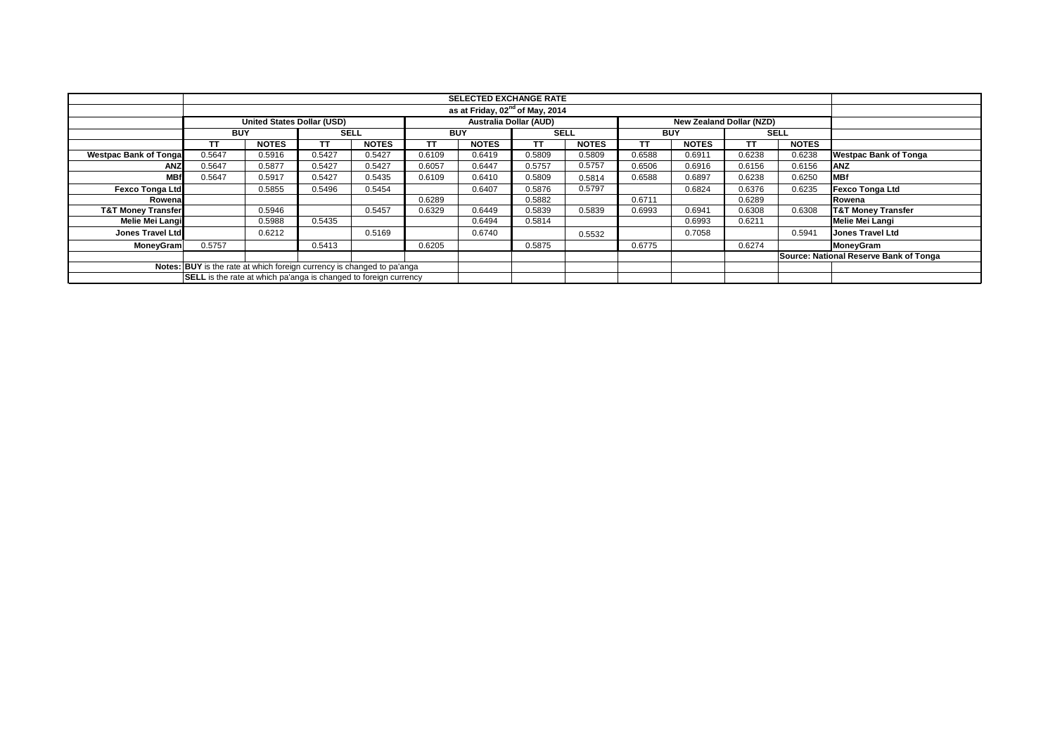|                               | <b>SELECTED EXCHANGE RATE</b>                                           |                            |             |              |            |              |                        |              |            |                          |           |              |                                        |  |  |  |
|-------------------------------|-------------------------------------------------------------------------|----------------------------|-------------|--------------|------------|--------------|------------------------|--------------|------------|--------------------------|-----------|--------------|----------------------------------------|--|--|--|
|                               | as at Friday, 02 <sup>nd</sup> of May, 2014                             |                            |             |              |            |              |                        |              |            |                          |           |              |                                        |  |  |  |
|                               |                                                                         | United States Dollar (USD) |             |              |            |              | Australia Dollar (AUD) |              |            | New Zealand Dollar (NZD) |           |              |                                        |  |  |  |
|                               | <b>BUY</b>                                                              |                            | <b>SELL</b> |              | <b>BUY</b> |              | <b>SELL</b>            |              | <b>BUY</b> |                          |           | <b>SELL</b>  |                                        |  |  |  |
|                               | TT                                                                      | <b>NOTES</b>               | <b>TT</b>   | <b>NOTES</b> | TT         | <b>NOTES</b> | TΤ                     | <b>NOTES</b> | тт         | <b>NOTES</b>             | <b>TT</b> | <b>NOTES</b> |                                        |  |  |  |
| <b>Westpac Bank of Tongal</b> | 0.5647                                                                  | 0.5916                     | 0.5427      | 0.5427       | 0.6109     | 0.6419       | 0.5809                 | 0.5809       | 0.6588     | 0.6911                   | 0.6238    | 0.6238       | <b>Westpac Bank of Tonga</b>           |  |  |  |
| <b>ANZ</b>                    | 0.5647                                                                  | 0.5877                     | 0.5427      | 0.5427       | 0.6057     | 0.6447       | 0.5757                 | 0.5757       | 0.6506     | 0.6916                   | 0.6156    | 0.6156       | <b>ANZ</b>                             |  |  |  |
| <b>MBf</b>                    | 0.5647                                                                  | 0.5917                     | 0.5427      | 0.5435       | 0.6109     | 0.6410       | 0.5809                 | 0.5814       | 0.6588     | 0.6897                   | 0.6238    | 0.6250       | <b>MBf</b>                             |  |  |  |
| <b>Fexco Tonga Ltd</b>        |                                                                         | 0.5855                     | 0.5496      | 0.5454       |            | 0.6407       | 0.5876                 | 0.5797       |            | 0.6824                   | 0.6376    | 0.6235       | <b>Fexco Tonga Ltd</b>                 |  |  |  |
| Rowenal                       |                                                                         |                            |             |              | 0.6289     |              | 0.5882                 |              | 0.6711     |                          | 0.6289    |              | Rowena                                 |  |  |  |
| <b>T&amp;T Money Transfer</b> |                                                                         | 0.5946                     |             | 0.5457       | 0.6329     | 0.6449       | 0.5839                 | 0.5839       | 0.6993     | 0.6941                   | 0.6308    | 0.6308       | <b>T&amp;T Money Transfer</b>          |  |  |  |
| <b>Melie Mei Langi</b>        |                                                                         | 0.5988                     | 0.5435      |              |            | 0.6494       | 0.5814                 |              |            | 0.6993                   | 0.6211    |              | <b>Melie Mei Langi</b>                 |  |  |  |
| <b>Jones Travel Ltd</b>       |                                                                         | 0.6212                     |             | 0.5169       |            | 0.6740       |                        | 0.5532       |            | 0.7058                   |           | 0.5941       | <b>Jones Travel Ltd</b>                |  |  |  |
| <b>MoneyGram</b>              | 0.5757                                                                  |                            | 0.5413      |              | 0.6205     |              | 0.5875                 |              | 0.6775     |                          | 0.6274    |              | <b>MoneyGram</b>                       |  |  |  |
|                               |                                                                         |                            |             |              |            |              |                        |              |            |                          |           |              | Source: National Reserve Bank of Tonga |  |  |  |
|                               | Notes: BUY is the rate at which foreign currency is changed to pa'anga  |                            |             |              |            |              |                        |              |            |                          |           |              |                                        |  |  |  |
|                               | <b>SELL</b> is the rate at which pa'anga is changed to foreign currency |                            |             |              |            |              |                        |              |            |                          |           |              |                                        |  |  |  |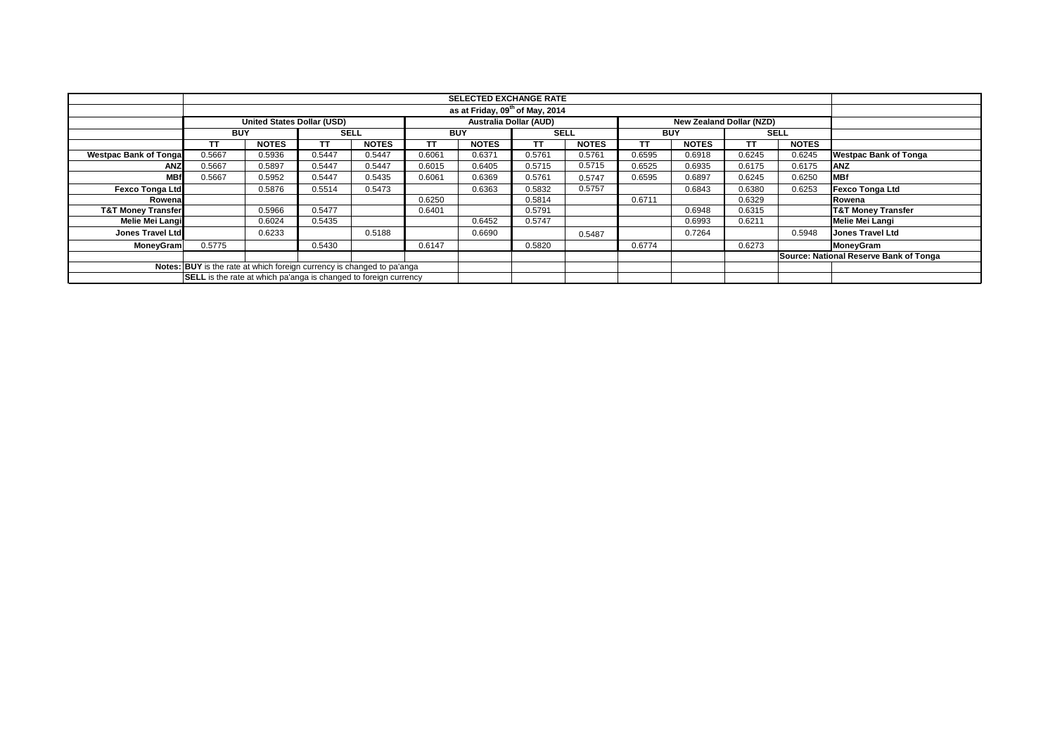|                               | <b>SELECTED EXCHANGE RATE</b>                                           |                            |             |              |            |              |                        |              |            |                          |           |              |                                        |  |  |  |  |
|-------------------------------|-------------------------------------------------------------------------|----------------------------|-------------|--------------|------------|--------------|------------------------|--------------|------------|--------------------------|-----------|--------------|----------------------------------------|--|--|--|--|
|                               | as at Friday, 09 <sup>th</sup> of May, 2014                             |                            |             |              |            |              |                        |              |            |                          |           |              |                                        |  |  |  |  |
|                               |                                                                         | United States Dollar (USD) |             |              |            |              | Australia Dollar (AUD) |              |            | New Zealand Dollar (NZD) |           |              |                                        |  |  |  |  |
|                               | <b>BUY</b>                                                              |                            | <b>SELL</b> |              | <b>BUY</b> |              | <b>SELL</b>            |              | <b>BUY</b> |                          |           | <b>SELL</b>  |                                        |  |  |  |  |
|                               | TT                                                                      | <b>NOTES</b>               | <b>TT</b>   | <b>NOTES</b> | TΤ         | <b>NOTES</b> | TΤ                     | <b>NOTES</b> | тт         | <b>NOTES</b>             | <b>TT</b> | <b>NOTES</b> |                                        |  |  |  |  |
| <b>Westpac Bank of Tongal</b> | 0.5667                                                                  | 0.5936                     | 0.5447      | 0.5447       | 0.6061     | 0.6371       | 0.5761                 | 0.5761       | 0.6595     | 0.6918                   | 0.6245    | 0.6245       | <b>Westpac Bank of Tonga</b>           |  |  |  |  |
| <b>ANZ</b>                    | 0.5667                                                                  | 0.5897                     | 0.5447      | 0.5447       | 0.6015     | 0.6405       | 0.5715                 | 0.5715       | 0.6525     | 0.6935                   | 0.6175    | 0.6175       | <b>ANZ</b>                             |  |  |  |  |
| <b>MBf</b>                    | 0.5667                                                                  | 0.5952                     | 0.5447      | 0.5435       | 0.6061     | 0.6369       | 0.5761                 | 0.5747       | 0.6595     | 0.6897                   | 0.6245    | 0.6250       | <b>MBf</b>                             |  |  |  |  |
| <b>Fexco Tonga Ltd</b>        |                                                                         | 0.5876                     | 0.5514      | 0.5473       |            | 0.6363       | 0.5832                 | 0.5757       |            | 0.6843                   | 0.6380    | 0.6253       | <b>Fexco Tonga Ltd</b>                 |  |  |  |  |
| Rowenal                       |                                                                         |                            |             |              | 0.6250     |              | 0.5814                 |              | 0.6711     |                          | 0.6329    |              | Rowena                                 |  |  |  |  |
| <b>T&amp;T Money Transfer</b> |                                                                         | 0.5966                     | 0.5477      |              | 0.6401     |              | 0.5791                 |              |            | 0.6948                   | 0.6315    |              | <b>T&amp;T Money Transfer</b>          |  |  |  |  |
| <b>Melie Mei Langi</b>        |                                                                         | 0.6024                     | 0.5435      |              |            | 0.6452       | 0.5747                 |              |            | 0.6993                   | 0.6211    |              | <b>Melie Mei Langi</b>                 |  |  |  |  |
| <b>Jones Travel Ltd</b>       |                                                                         | 0.6233                     |             | 0.5188       |            | 0.6690       |                        | 0.5487       |            | 0.7264                   |           | 0.5948       | <b>Jones Travel Ltd</b>                |  |  |  |  |
| <b>MoneyGram</b>              | 0.5775                                                                  |                            | 0.5430      |              | 0.6147     |              | 0.5820                 |              | 0.6774     |                          | 0.6273    |              | <b>MoneyGram</b>                       |  |  |  |  |
|                               |                                                                         |                            |             |              |            |              |                        |              |            |                          |           |              | Source: National Reserve Bank of Tonga |  |  |  |  |
|                               | Notes: BUY is the rate at which foreign currency is changed to pa'anga  |                            |             |              |            |              |                        |              |            |                          |           |              |                                        |  |  |  |  |
|                               | <b>SELL</b> is the rate at which pa'anga is changed to foreign currency |                            |             |              |            |              |                        |              |            |                          |           |              |                                        |  |  |  |  |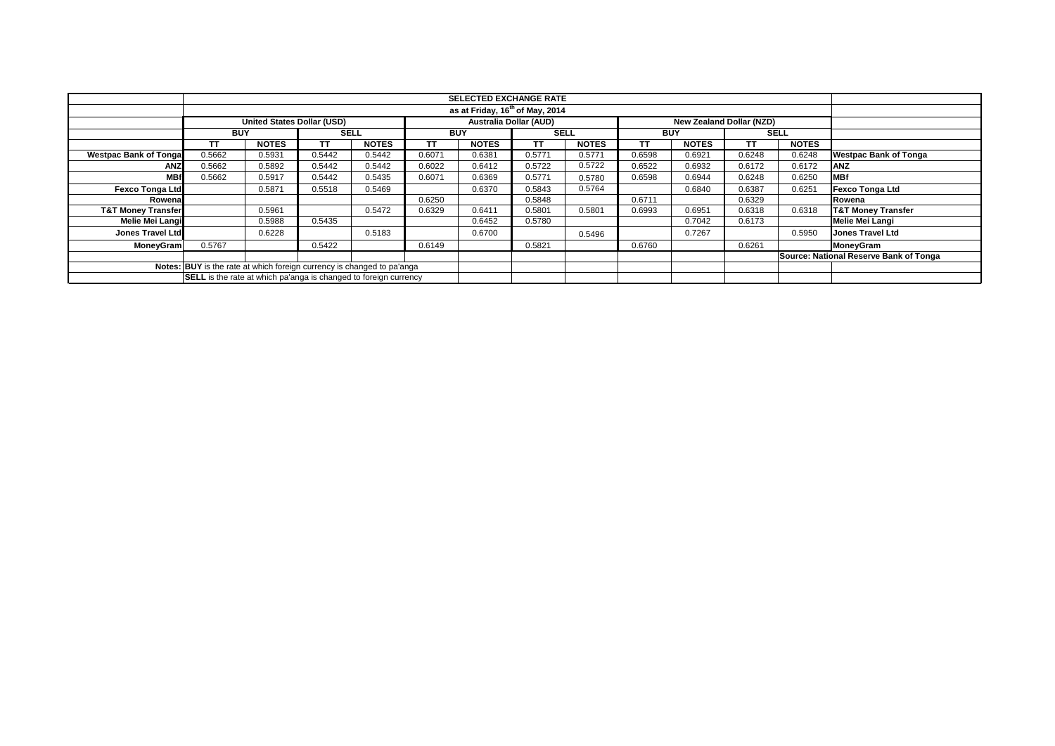|                               | <b>SELECTED EXCHANGE RATE</b>                                           |                            |             |              |            |                        |             |              |            |                          |           |              |                                        |  |  |  |  |
|-------------------------------|-------------------------------------------------------------------------|----------------------------|-------------|--------------|------------|------------------------|-------------|--------------|------------|--------------------------|-----------|--------------|----------------------------------------|--|--|--|--|
|                               | as at Friday, 16 <sup>th</sup> of May, 2014                             |                            |             |              |            |                        |             |              |            |                          |           |              |                                        |  |  |  |  |
|                               |                                                                         | United States Dollar (USD) |             |              |            | Australia Dollar (AUD) |             |              |            | New Zealand Dollar (NZD) |           |              |                                        |  |  |  |  |
|                               | <b>BUY</b>                                                              |                            | <b>SELL</b> |              | <b>BUY</b> |                        | <b>SELL</b> |              | <b>BUY</b> |                          |           | <b>SELL</b>  |                                        |  |  |  |  |
|                               | TT                                                                      | <b>NOTES</b>               | <b>TT</b>   | <b>NOTES</b> | TΤ         | <b>NOTES</b>           | TΤ          | <b>NOTES</b> | тт         | <b>NOTES</b>             | <b>TT</b> | <b>NOTES</b> |                                        |  |  |  |  |
| <b>Westpac Bank of Tongal</b> | 0.5662                                                                  | 0.5931                     | 0.5442      | 0.5442       | 0.6071     | 0.6381                 | 0.5771      | 0.5771       | 0.6598     | 0.6921                   | 0.6248    | 0.6248       | <b>Westpac Bank of Tonga</b>           |  |  |  |  |
| <b>ANZ</b>                    | 0.5662                                                                  | 0.5892                     | 0.5442      | 0.5442       | 0.6022     | 0.6412                 | 0.5722      | 0.5722       | 0.6522     | 0.6932                   | 0.6172    | 0.6172       | <b>IANZ</b>                            |  |  |  |  |
| <b>MBf</b>                    | 0.5662                                                                  | 0.5917                     | 0.5442      | 0.5435       | 0.6071     | 0.6369                 | 0.5771      | 0.5780       | 0.6598     | 0.6944                   | 0.6248    | 0.6250       | <b>MBf</b>                             |  |  |  |  |
| <b>Fexco Tonga Ltd</b>        |                                                                         | 0.5871                     | 0.5518      | 0.5469       |            | 0.6370                 | 0.5843      | 0.5764       |            | 0.6840                   | 0.6387    | 0.6251       | <b>Fexco Tonga Ltd</b>                 |  |  |  |  |
| Rowenal                       |                                                                         |                            |             |              | 0.6250     |                        | 0.5848      |              | 0.6711     |                          | 0.6329    |              | Rowena                                 |  |  |  |  |
| <b>T&amp;T Money Transfer</b> |                                                                         | 0.5961                     |             | 0.5472       | 0.6329     | 0.6411                 | 0.5801      | 0.5801       | 0.6993     | 0.6951                   | 0.6318    | 0.6318       | <b>T&amp;T Money Transfer</b>          |  |  |  |  |
| <b>Melie Mei Langi</b>        |                                                                         | 0.5988                     | 0.5435      |              |            | 0.6452                 | 0.5780      |              |            | 0.7042                   | 0.6173    |              | <b>Melie Mei Langi</b>                 |  |  |  |  |
| <b>Jones Travel Ltd</b>       |                                                                         | 0.6228                     |             | 0.5183       |            | 0.6700                 |             | 0.5496       |            | 0.7267                   |           | 0.5950       | <b>Jones Travel Ltd</b>                |  |  |  |  |
| <b>MoneyGram</b>              | 0.5767                                                                  |                            | 0.5422      |              | 0.6149     |                        | 0.5821      |              | 0.6760     |                          | 0.6261    |              | <b>MoneyGram</b>                       |  |  |  |  |
|                               |                                                                         |                            |             |              |            |                        |             |              |            |                          |           |              | Source: National Reserve Bank of Tonga |  |  |  |  |
|                               | Notes: BUY is the rate at which foreign currency is changed to pa'anga  |                            |             |              |            |                        |             |              |            |                          |           |              |                                        |  |  |  |  |
|                               | <b>SELL</b> is the rate at which pa'anga is changed to foreign currency |                            |             |              |            |                        |             |              |            |                          |           |              |                                        |  |  |  |  |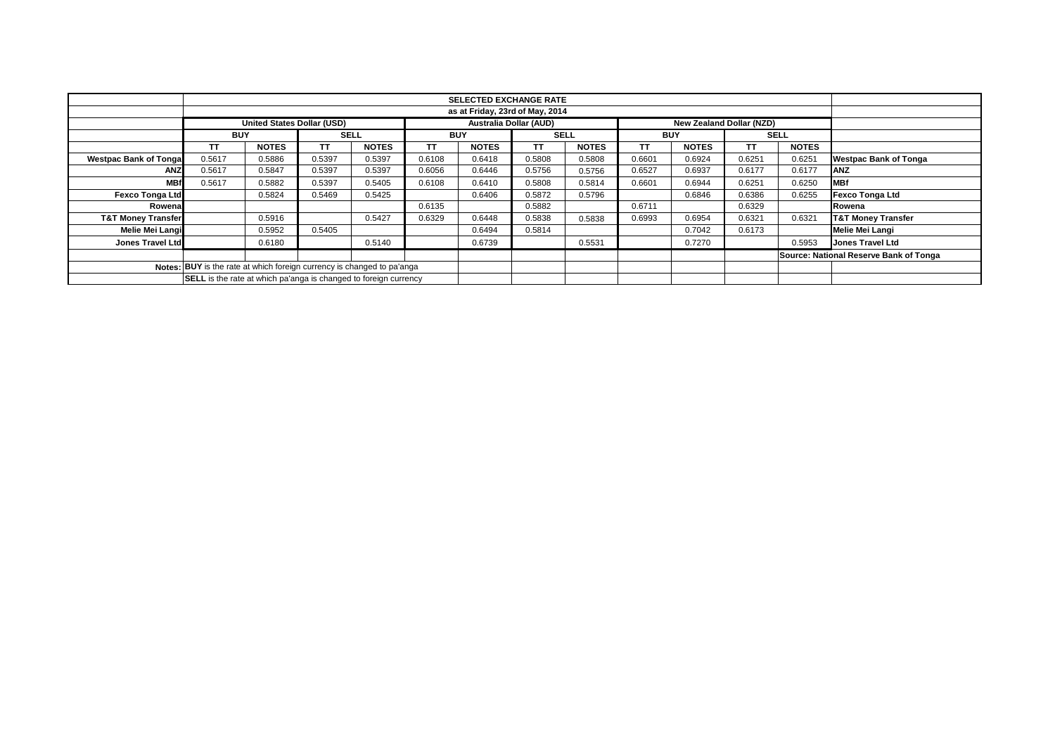|                               |                                                                         |              |             |              |            | <b>SELECTED EXCHANGE RATE</b> |             |                                 |            |              |                                        |              |                               |  |  |
|-------------------------------|-------------------------------------------------------------------------|--------------|-------------|--------------|------------|-------------------------------|-------------|---------------------------------|------------|--------------|----------------------------------------|--------------|-------------------------------|--|--|
|                               |                                                                         |              |             |              |            |                               |             |                                 |            |              |                                        |              |                               |  |  |
|                               | <b>United States Dollar (USD)</b>                                       |              |             |              |            | Australia Dollar (AUD)        |             | <b>New Zealand Dollar (NZD)</b> |            |              |                                        |              |                               |  |  |
|                               | <b>BUY</b>                                                              |              | <b>SELL</b> |              | <b>BUY</b> |                               | <b>SELL</b> |                                 | <b>BUY</b> |              | <b>SELL</b>                            |              |                               |  |  |
|                               | TΤ                                                                      | <b>NOTES</b> | тт          | <b>NOTES</b> | <b>TT</b>  | <b>NOTES</b>                  | TΤ          | <b>NOTES</b>                    | тт         | <b>NOTES</b> | TΤ                                     | <b>NOTES</b> |                               |  |  |
| <b>Westpac Bank of Tonga</b>  | 0.5617                                                                  | 0.5886       | 0.5397      | 0.5397       | 0.6108     | 0.6418                        | 0.5808      | 0.5808                          | 0.6601     | 0.6924       | 0.6251                                 | 0.6251       | <b>Westpac Bank of Tonga</b>  |  |  |
| <b>ANZ</b>                    | 0.5617                                                                  | 0.5847       | 0.5397      | 0.5397       | 0.6056     | 0.6446                        | 0.5756      | 0.5756                          | 0.6527     | 0.6937       | 0.6177                                 | 0.6177       | <b>ANZ</b>                    |  |  |
| <b>MBf</b>                    | 0.5617                                                                  | 0.5882       | 0.5397      | 0.5405       | 0.6108     | 0.6410                        | 0.5808      | 0.5814                          | 0.6601     | 0.6944       | 0.6251                                 | 0.6250       | <b>MBf</b>                    |  |  |
| <b>Fexco Tonga Ltd</b>        |                                                                         | 0.5824       | 0.5469      | 0.5425       |            | 0.6406                        | 0.5872      | 0.5796                          |            | 0.6846       | 0.6386                                 | 0.6255       | <b>Fexco Tonga Ltd</b>        |  |  |
| Rowena                        |                                                                         |              |             |              | 0.6135     |                               | 0.5882      |                                 | 0.6711     |              | 0.6329                                 |              | Rowena                        |  |  |
| <b>T&amp;T Money Transfer</b> |                                                                         | 0.5916       |             | 0.5427       | 0.6329     | 0.6448                        | 0.5838      | 0.5838                          | 0.6993     | 0.6954       | 0.6321                                 | 0.6321       | <b>T&amp;T Money Transfer</b> |  |  |
| <b>Melie Mei Langi</b>        |                                                                         | 0.5952       | 0.5405      |              |            | 0.6494                        | 0.5814      |                                 |            | 0.7042       | 0.6173                                 |              | <b>Melie Mei Langi</b>        |  |  |
| Jones Travel Ltd              |                                                                         | 0.6180       |             | 0.5140       |            | 0.6739                        |             | 0.5531                          |            | 0.7270       |                                        | 0.5953       | <b>Jones Travel Ltd</b>       |  |  |
|                               |                                                                         |              |             |              |            |                               |             |                                 |            |              | Source: National Reserve Bank of Tonga |              |                               |  |  |
|                               | Notes: BUY is the rate at which foreign currency is changed to pa'anga  |              |             |              |            |                               |             |                                 |            |              |                                        |              |                               |  |  |
|                               | <b>SELL</b> is the rate at which pa'anga is changed to foreign currency |              |             |              |            |                               |             |                                 |            |              |                                        |              |                               |  |  |